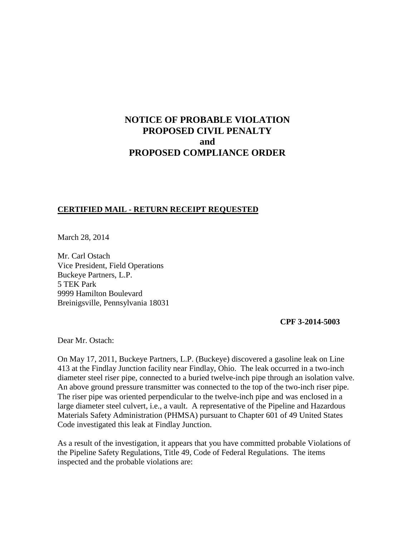# **NOTICE OF PROBABLE VIOLATION PROPOSED CIVIL PENALTY and PROPOSED COMPLIANCE ORDER**

### **CERTIFIED MAIL - RETURN RECEIPT REQUESTED**

March 28, 2014

Mr. Carl Ostach Vice President, Field Operations Buckeye Partners, L.P. 5 TEK Park 9999 Hamilton Boulevard Breinigsville, Pennsylvania 18031

#### **CPF 3-2014-5003**

Dear Mr. Ostach:

On May 17, 2011, Buckeye Partners, L.P. (Buckeye) discovered a gasoline leak on Line 413 at the Findlay Junction facility near Findlay, Ohio. The leak occurred in a two-inch diameter steel riser pipe, connected to a buried twelve-inch pipe through an isolation valve. An above ground pressure transmitter was connected to the top of the two-inch riser pipe. The riser pipe was oriented perpendicular to the twelve-inch pipe and was enclosed in a large diameter steel culvert, i.e., a vault. A representative of the Pipeline and Hazardous Materials Safety Administration (PHMSA) pursuant to Chapter 601 of 49 United States Code investigated this leak at Findlay Junction.

As a result of the investigation, it appears that you have committed probable Violations of the Pipeline Safety Regulations, Title 49, Code of Federal Regulations. The items inspected and the probable violations are: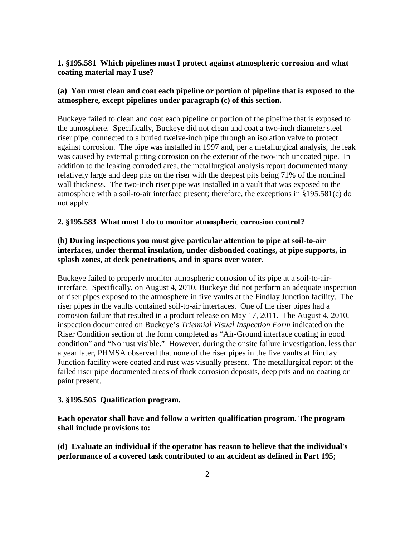### **1. §195.581 Which pipelines must I protect against atmospheric corrosion and what coating material may I use?**

### **(a) You must clean and coat each pipeline or portion of pipeline that is exposed to the atmosphere, except pipelines under paragraph (c) of this section.**

Buckeye failed to clean and coat each pipeline or portion of the pipeline that is exposed to the atmosphere. Specifically, Buckeye did not clean and coat a two-inch diameter steel riser pipe, connected to a buried twelve-inch pipe through an isolation valve to protect against corrosion. The pipe was installed in 1997 and, per a metallurgical analysis, the leak was caused by external pitting corrosion on the exterior of the two-inch uncoated pipe. In addition to the leaking corroded area, the metallurgical analysis report documented many relatively large and deep pits on the riser with the deepest pits being 71% of the nominal wall thickness. The two-inch riser pipe was installed in a vault that was exposed to the atmosphere with a soil-to-air interface present; therefore, the exceptions in §195.581(c) do not apply.

### **2. §195.583 What must I do to monitor atmospheric corrosion control?**

### **(b) During inspections you must give particular attention to pipe at soil-to-air interfaces, under thermal insulation, under disbonded coatings, at pipe supports, in splash zones, at deck penetrations, and in spans over water.**

Buckeye failed to properly monitor atmospheric corrosion of its pipe at a soil-to-airinterface. Specifically, on August 4, 2010, Buckeye did not perform an adequate inspection of riser pipes exposed to the atmosphere in five vaults at the Findlay Junction facility. The riser pipes in the vaults contained soil-to-air interfaces. One of the riser pipes had a corrosion failure that resulted in a product release on May 17, 2011. The August 4, 2010, inspection documented on Buckeye's *Triennial Visual Inspection Form* indicated on the Riser Condition section of the form completed as "Air-Ground interface coating in good condition" and "No rust visible." However, during the onsite failure investigation, less than a year later, PHMSA observed that none of the riser pipes in the five vaults at Findlay Junction facility were coated and rust was visually present. The metallurgical report of the failed riser pipe documented areas of thick corrosion deposits, deep pits and no coating or paint present.

#### **3. §195.505 Qualification program.**

### **Each operator shall have and follow a written qualification program. The program shall include provisions to:**

**(d) Evaluate an individual if the operator has reason to believe that the individual's performance of a covered task contributed to an accident as defined in Part 195;**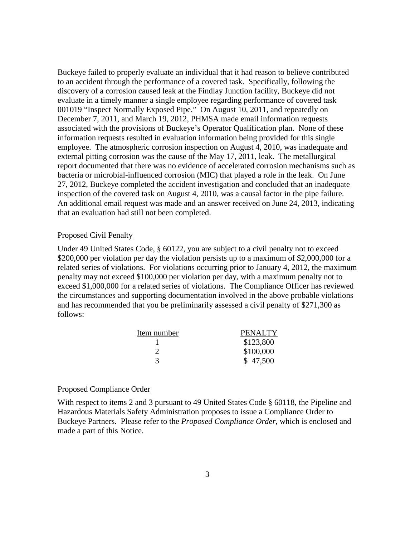Buckeye failed to properly evaluate an individual that it had reason to believe contributed to an accident through the performance of a covered task. Specifically, following the discovery of a corrosion caused leak at the Findlay Junction facility, Buckeye did not evaluate in a timely manner a single employee regarding performance of covered task 001019 "Inspect Normally Exposed Pipe." On August 10, 2011, and repeatedly on December 7, 2011, and March 19, 2012, PHMSA made email information requests associated with the provisions of Buckeye's Operator Qualification plan. None of these information requests resulted in evaluation information being provided for this single employee. The atmospheric corrosion inspection on August 4, 2010, was inadequate and external pitting corrosion was the cause of the May 17, 2011, leak. The metallurgical report documented that there was no evidence of accelerated corrosion mechanisms such as bacteria or microbial-influenced corrosion (MIC) that played a role in the leak. On June 27, 2012, Buckeye completed the accident investigation and concluded that an inadequate inspection of the covered task on August 4, 2010, was a causal factor in the pipe failure. An additional email request was made and an answer received on June 24, 2013, indicating that an evaluation had still not been completed.

#### Proposed Civil Penalty

Under 49 United States Code, § 60122, you are subject to a civil penalty not to exceed \$200,000 per violation per day the violation persists up to a maximum of \$2,000,000 for a related series of violations. For violations occurring prior to January 4, 2012, the maximum penalty may not exceed \$100,000 per violation per day, with a maximum penalty not to exceed \$1,000,000 for a related series of violations. The Compliance Officer has reviewed the circumstances and supporting documentation involved in the above probable violations and has recommended that you be preliminarily assessed a civil penalty of \$271,300 as follows:

| Item number | PENALTY   |
|-------------|-----------|
|             | \$123,800 |
| $\gamma$    | \$100,000 |
|             | \$47,500  |

#### Proposed Compliance Order

With respect to items 2 and 3 pursuant to 49 United States Code § 60118, the Pipeline and Hazardous Materials Safety Administration proposes to issue a Compliance Order to Buckeye Partners. Please refer to the *Proposed Compliance Order*, which is enclosed and made a part of this Notice.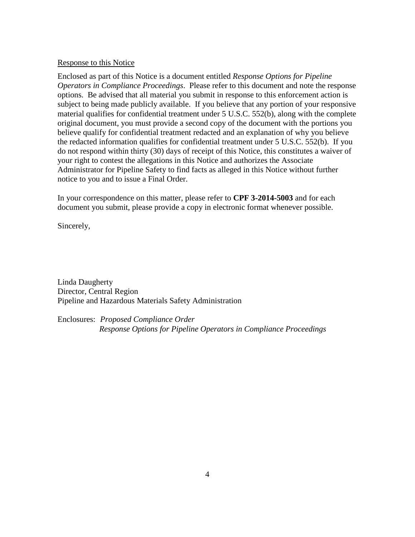#### Response to this Notice

Enclosed as part of this Notice is a document entitled *Response Options for Pipeline Operators in Compliance Proceedings*. Please refer to this document and note the response options. Be advised that all material you submit in response to this enforcement action is subject to being made publicly available. If you believe that any portion of your responsive material qualifies for confidential treatment under 5 U.S.C. 552(b), along with the complete original document, you must provide a second copy of the document with the portions you believe qualify for confidential treatment redacted and an explanation of why you believe the redacted information qualifies for confidential treatment under 5 U.S.C. 552(b). If you do not respond within thirty (30) days of receipt of this Notice, this constitutes a waiver of your right to contest the allegations in this Notice and authorizes the Associate Administrator for Pipeline Safety to find facts as alleged in this Notice without further notice to you and to issue a Final Order.

In your correspondence on this matter, please refer to **CPF 3-2014-5003** and for each document you submit, please provide a copy in electronic format whenever possible.

Sincerely,

Linda Daugherty Director, Central Region Pipeline and Hazardous Materials Safety Administration

Enclosures: *Proposed Compliance Order Response Options for Pipeline Operators in Compliance Proceedings*